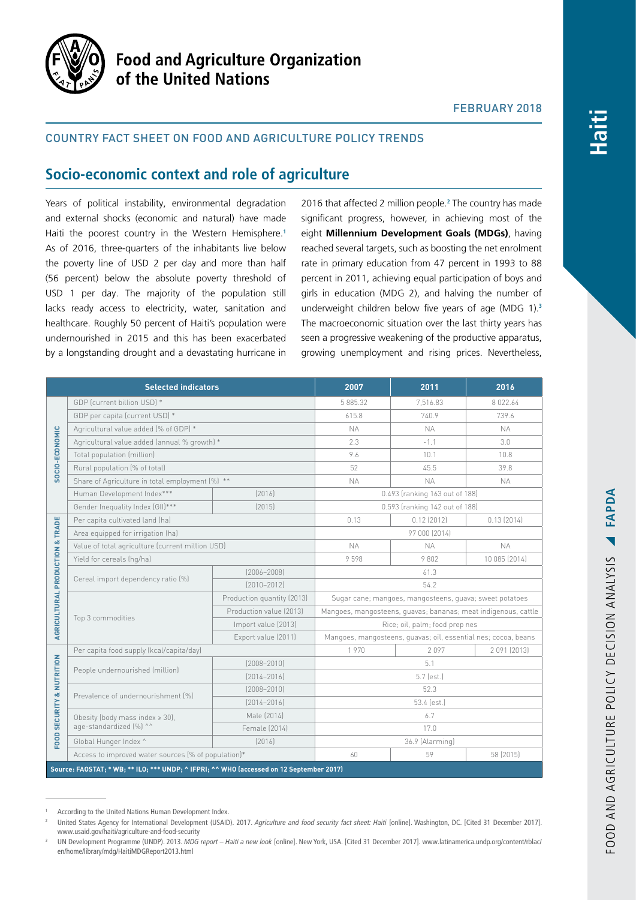

# **Food and Agriculture Organization** of the United Nations

### FEBRUARY 2018

### Country fact sheet on food and agriculture policy trends

## **Socio-economic context and role of agriculture**

Years of political instability, environmental degradation and external shocks (economic and natural) have made Haiti the poorest country in the Western Hemisphere.**<sup>1</sup>** As of 2016, three-quarters of the inhabitants live below the poverty line of USD 2 per day and more than half (56 percent) below the absolute poverty threshold of USD 1 per day. The majority of the population still lacks ready access to electricity, water, sanitation and healthcare. Roughly 50 percent of Haiti's population were undernourished in 2015 and this has been exacerbated by a longstanding drought and a devastating hurricane in

2016 that affected 2 million people.**<sup>2</sup>** The country has made significant progress, however, in achieving most of the eight **Millennium Development Goals (MDGs)**, having reached several targets, such as boosting the net enrolment rate in primary education from 47 percent in 1993 to 88 percent in 2011, achieving equal participation of boys and girls in education (MDG 2), and halving the number of underweight children below five years of age (MDG 1).**<sup>3</sup>** The macroeconomic situation over the last thirty years has seen a progressive weakening of the productive apparatus, growing unemployment and rising prices. Nevertheless,

| <b>Selected indicators</b>                                                               |                                                                |                            | 2007                                                           | 2011          | 2016          |
|------------------------------------------------------------------------------------------|----------------------------------------------------------------|----------------------------|----------------------------------------------------------------|---------------|---------------|
| SOCIO-ECONOMIC                                                                           | GDP (current billion USD) *                                    |                            | 5 885.32                                                       | 7.516.83      | 8 0 2 2.6 4   |
|                                                                                          | GDP per capita (current USD) *                                 |                            | 615.8                                                          | 740.9         | 739.6         |
|                                                                                          | Agricultural value added (% of GDP) *                          |                            | <b>NA</b>                                                      | <b>NA</b>     | <b>NA</b>     |
|                                                                                          | Agricultural value added (annual % growth) *                   |                            | 2.3                                                            | $-1.1$        | 3.0           |
|                                                                                          | Total population (million)                                     |                            | 9.6                                                            | 10.1          | 10.8          |
|                                                                                          | Rural population (% of total)                                  |                            | 52                                                             | 45.5          | 39.8          |
|                                                                                          | Share of Agriculture in total employment (%) **                |                            | <b>NA</b>                                                      | <b>NA</b>     | <b>NA</b>     |
|                                                                                          | Human Development Index***                                     | [2016]                     | 0.493 (ranking 163 out of 188)                                 |               |               |
|                                                                                          | Gender Inequality Index (GII)***                               | (2015)                     | 0.593 (ranking 142 out of 188)                                 |               |               |
| AGRICULTURAL PRODUCTION & TRADE                                                          | Per capita cultivated land (ha)                                |                            | 0.13                                                           | $0.12$ (2012) | $0.13$ (2014) |
|                                                                                          | Area equipped for irrigation (ha)                              |                            | 97 000 (2014)                                                  |               |               |
|                                                                                          | Value of total agriculture (current million USD)               |                            | <b>NA</b>                                                      | <b>NA</b>     | <b>NA</b>     |
|                                                                                          | Yield for cereals (hg/ha)                                      |                            | 9598                                                           | 9802          | 10 085 (2014) |
|                                                                                          | Cereal import dependency ratio [%]                             | $[2006 - 2008]$            | 61.3                                                           |               |               |
|                                                                                          |                                                                | $[2010 - 2012]$            | 54.2                                                           |               |               |
|                                                                                          | Top 3 commodities                                              | Production quantity (2013) | Sugar cane; mangoes, mangosteens, guava; sweet potatoes        |               |               |
|                                                                                          |                                                                | Production value (2013)    | Mangoes, mangosteens, guavas; bananas; meat indigenous, cattle |               |               |
|                                                                                          |                                                                | Import value (2013)        | Rice; oil, palm; food prep nes                                 |               |               |
|                                                                                          |                                                                | Export value (2011)        | Mangoes, mangosteens, guavas; oil, essential nes; cocoa, beans |               |               |
| <b>FOOD SECURITY &amp; NUTRITION</b>                                                     | Per capita food supply (kcal/capita/day)                       |                            | 1970                                                           | 2097          | 2 091 (2013)  |
|                                                                                          | People undernourished (million)                                | $(2008 - 2010)$            | 5.1                                                            |               |               |
|                                                                                          |                                                                | $[2014 - 2016]$            | 5.7 (est.)                                                     |               |               |
|                                                                                          | Prevalence of undernourishment [%]                             | $(2008 - 2010)$            | 52.3                                                           |               |               |
|                                                                                          |                                                                | $[2014 - 2016]$            | 53.4 (est.)                                                    |               |               |
|                                                                                          | Obesity (body mass index $\ge$ 30),<br>age-standardized (%) ^^ | Male (2014)                | 6.7                                                            |               |               |
|                                                                                          |                                                                | Female (2014)              | 17.0                                                           |               |               |
|                                                                                          | Global Hunger Index ^                                          | [2016]                     | 36.9 (Alarming)                                                |               |               |
|                                                                                          | Access to improved water sources (% of population)*            |                            | 60                                                             | 59            | 58 (2015)     |
| Source: FAOSTAT; * WB; ** ILO; *** UNDP; ^ IFPRI; ^^ WHO (accessed on 12 September 2017) |                                                                |                            |                                                                |               |               |

According to the United Nations Human Development Index.

<sup>2</sup> United States Agency for International Development (USAID). 2017. *Agriculture and food security fact sheet: Haiti* [online]. Washington, DC. [Cited 31 December 2017]. [www.usaid.gov/haiti/agriculture-and-food-security](https://www.usaid.gov/haiti/agriculture-and-food-security)

<sup>3</sup> UN Development Programme (UNDP). 2013. *MDG report – Haiti a new look* [online]. New York, USA. [Cited 31 December 2017]. [www.latinamerica.undp.org/content/rblac/](http://www.latinamerica.undp.org/content/rblac/en/home/library/mdg/HaitiMDGReport2013.html) [en/home/library/mdg/HaitiMDGReport2013.html](http://www.latinamerica.undp.org/content/rblac/en/home/library/mdg/HaitiMDGReport2013.html)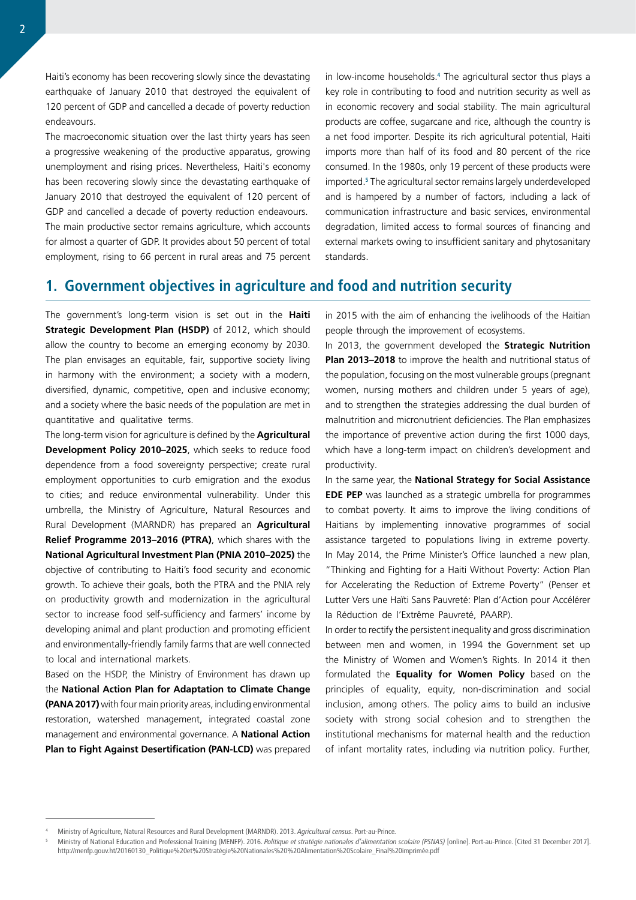Haiti's economy has been recovering slowly since the devastating earthquake of January 2010 that destroyed the equivalent of 120 percent of GDP and cancelled a decade of poverty reduction endeavours.

The macroeconomic situation over the last thirty years has seen a progressive weakening of the productive apparatus, growing unemployment and rising prices. Nevertheless, Haiti's economy has been recovering slowly since the devastating earthquake of January 2010 that destroyed the equivalent of 120 percent of GDP and cancelled a decade of poverty reduction endeavours. The main productive sector remains agriculture, which accounts for almost a quarter of GDP. It provides about 50 percent of total employment, rising to 66 percent in rural areas and 75 percent

in low-income households.**<sup>4</sup>** The agricultural sector thus plays a key role in contributing to food and nutrition security as well as in economic recovery and social stability. The main agricultural products are coffee, sugarcane and rice, although the country is a net food importer. Despite its rich agricultural potential, Haiti imports more than half of its food and 80 percent of the rice consumed. In the 1980s, only 19 percent of these products were imported.**<sup>5</sup>** The agricultural sector remains largely underdeveloped and is hampered by a number of factors, including a lack of communication infrastructure and basic services, environmental degradation, limited access to formal sources of financing and external markets owing to insufficient sanitary and phytosanitary standards.

## **1. Government objectives in agriculture and food and nutrition security**

The government's long-term vision is set out in the **Haiti Strategic Development Plan (HSDP)** of 2012, which should allow the country to become an emerging economy by 2030. The plan envisages an equitable, fair, supportive society living in harmony with the environment; a society with a modern, diversified, dynamic, competitive, open and inclusive economy; and a society where the basic needs of the population are met in quantitative and qualitative terms.

The long-term vision for agriculture is defined by the **Agricultural Development Policy 2010–2025**, which seeks to reduce food dependence from a food sovereignty perspective; create rural employment opportunities to curb emigration and the exodus to cities; and reduce environmental vulnerability. Under this umbrella, the Ministry of Agriculture, Natural Resources and Rural Development (MARNDR) has prepared an **Agricultural Relief Programme 2013–2016 (PTRA)**, which shares with the **National Agricultural Investment Plan (PNIA 2010–2025)** the objective of contributing to Haiti's food security and economic growth. To achieve their goals, both the PTRA and the PNIA rely on productivity growth and modernization in the agricultural sector to increase food self-sufficiency and farmers' income by developing animal and plant production and promoting efficient and environmentally-friendly family farms that are well connected to local and international markets.

Based on the HSDP, the Ministry of Environment has drawn up the **National Action Plan for Adaptation to Climate Change (PANA 2017)** with four main priority areas, including environmental restoration, watershed management, integrated coastal zone management and environmental governance. A **National Action Plan to Fight Against Desertification (PAN-LCD)** was prepared in 2015 with the aim of enhancing the ivelihoods of the Haitian people through the improvement of ecosystems.

In 2013, the government developed the **Strategic Nutrition Plan 2013–2018** to improve the health and nutritional status of the population, focusing on the most vulnerable groups (pregnant women, nursing mothers and children under 5 years of age), and to strengthen the strategies addressing the dual burden of malnutrition and micronutrient deficiencies. The Plan emphasizes the importance of preventive action during the first 1000 days, which have a long-term impact on children's development and productivity.

In the same year, the **National Strategy for Social Assistance EDE PEP** was launched as a strategic umbrella for programmes to combat poverty. It aims to improve the living conditions of Haitians by implementing innovative programmes of social assistance targeted to populations living in extreme poverty. In May 2014, the Prime Minister's Office launched a new plan, "Thinking and Fighting for a Haiti Without Poverty: Action Plan for Accelerating the Reduction of Extreme Poverty" (Penser et Lutter Vers une Haïti Sans Pauvreté: Plan d'Action pour Accélérer la Réduction de l'Extrême Pauvreté, PAARP).

In order to rectify the persistent inequality and gross discrimination between men and women, in 1994 the Government set up the Ministry of Women and Women's Rights. In 2014 it then formulated the **Equality for Women Policy** based on the principles of equality, equity, non-discrimination and social inclusion, among others. The policy aims to build an inclusive society with strong social cohesion and to strengthen the institutional mechanisms for maternal health and the reduction of infant mortality rates, including via nutrition policy. Further,

<sup>4</sup> Ministry of Agriculture, Natural Resources and Rural Development (MARNDR). 2013. *Agricultural census*. Port-au-Prince.

<sup>5</sup> Ministry of National Education and Professional Training (MENFP). 2016. *Politique et stratégie nationales d'alimentation scolaire (PSNAS)* [online]. Port-au-Prince. [Cited 31 December 2017]. [http://menfp.gouv.ht/20160130\\_Politique%20et%20Stratégie%20Nationales%20%20Alimentation%20Scolaire\\_Final%20imprimée.pdf](http://menfp.gouv.ht/20160130_Politique et Strat�gie Nationales  Alimentation Scolaire_Final imprim�e.pdf)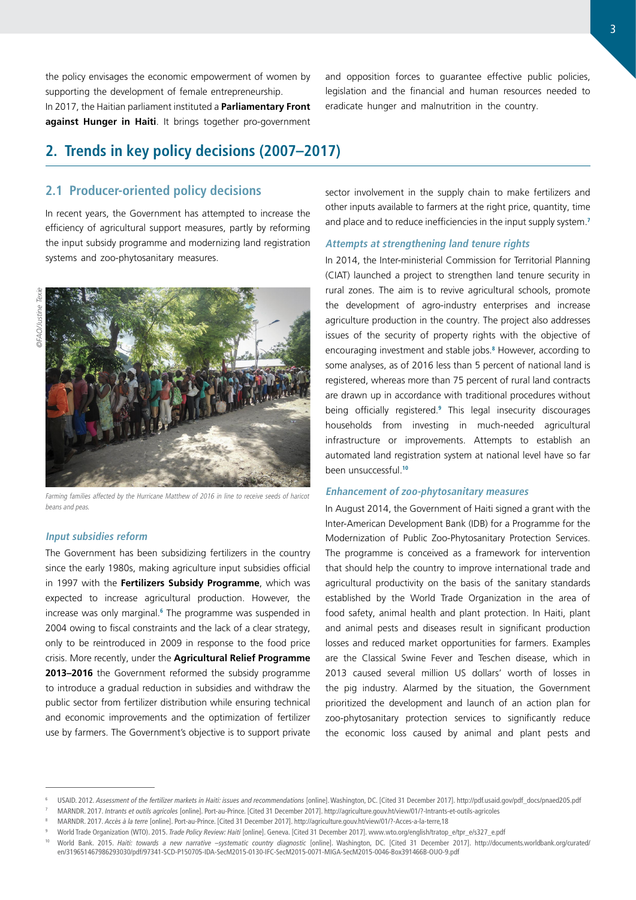the policy envisages the economic empowerment of women by supporting the development of female entrepreneurship. In 2017, the Haitian parliament instituted a **Parliamentary Front against Hunger in Haiti**. It brings together pro-government

## **2. Trends in key policy decisions (2007–2017)**

### **2.1 Producer-oriented policy decisions**

In recent years, the Government has attempted to increase the efficiency of agricultural support measures, partly by reforming the input subsidy programme and modernizing land registration systems and zoo-phytosanitary measures.



Farming families affected by the Hurricane Matthew of 2016 in line to receive seeds of haricot beans and peas.

### **Input subsidies reform**

The Government has been subsidizing fertilizers in the country since the early 1980s, making agriculture input subsidies official in 1997 with the **Fertilizers Subsidy Programme**, which was expected to increase agricultural production. However, the increase was only marginal.**<sup>6</sup>** The programme was suspended in 2004 owing to fiscal constraints and the lack of a clear strategy, only to be reintroduced in 2009 in response to the food price crisis. More recently, under the **Agricultural Relief Programme 2013–2016** the Government reformed the subsidy programme to introduce a gradual reduction in subsidies and withdraw the public sector from fertilizer distribution while ensuring technical and economic improvements and the optimization of fertilizer use by farmers. The Government's objective is to support private

and opposition forces to guarantee effective public policies, legislation and the financial and human resources needed to eradicate hunger and malnutrition in the country.

sector involvement in the supply chain to make fertilizers and other inputs available to farmers at the right price, quantity, time and place and to reduce inefficiencies in the input supply system.**<sup>7</sup>**

### **Attempts at strengthening land tenure rights**

In 2014, the Inter-ministerial Commission for Territorial Planning (CIAT) launched a project to strengthen land tenure security in rural zones. The aim is to revive agricultural schools, promote the development of agro-industry enterprises and increase agriculture production in the country. The project also addresses issues of the security of property rights with the objective of encouraging investment and stable jobs.**<sup>8</sup>** However, according to some analyses, as of 2016 less than 5 percent of national land is registered, whereas more than 75 percent of rural land contracts are drawn up in accordance with traditional procedures without being officially registered.**<sup>9</sup>** This legal insecurity discourages households from investing in much-needed agricultural infrastructure or improvements. Attempts to establish an automated land registration system at national level have so far been unsuccessful.**<sup>10</sup>**

#### **Enhancement of zoo-phytosanitary measures**

In August 2014, the Government of Haiti signed a grant with the Inter-American Development Bank (IDB) for a Programme for the Modernization of Public Zoo-Phytosanitary Protection Services. The programme is conceived as a framework for intervention that should help the country to improve international trade and agricultural productivity on the basis of the sanitary standards established by the World Trade Organization in the area of food safety, animal health and plant protection. In Haiti, plant and animal pests and diseases result in significant production losses and reduced market opportunities for farmers. Examples are the Classical Swine Fever and Teschen disease, which in 2013 caused several million US dollars' worth of losses in the pig industry. Alarmed by the situation, the Government prioritized the development and launch of an action plan for zoo-phytosanitary protection services to significantly reduce the economic loss caused by animal and plant pests and

<sup>6</sup> USAID. 2012. *Assessment of the fertilizer markets in Haiti: issues and recommendations* [online]. Washington, DC. [Cited 31 December 2017]. [http://pdf.usaid.gov/pdf\\_docs/pnaed205.pdf](http://pdf.usaid.gov/pdf_docs/pnaed205.pdf)

<sup>7</sup> MARNDR. 2017. *Intrants et outils agricoles* [online]. Port-au-Prince. [Cited 31 December 2017]. [http://agriculture.gouv.ht/view/01/?-Intrants-et-outils-agricoles](http://agriculture.gouv.ht/view/01/?-Intrants-et-outils-agricoles-)

<sup>8</sup> MARNDR. 2017. *Accès à la terre* [online]. Port-au-Prince. [Cited 31 December 2017]. <http://agriculture.gouv.ht/view/01/?-Acces-a-la-terre,18>

<sup>9</sup> World Trade Organization (WTO). 2015. *Trade Policy Review: Haiti* [online]. Geneva. [Cited 31 December 2017]. [www.wto.org/english/tratop\\_e/tpr\\_e/s327\\_e.pdf](https://www.wto.org/english/tratop_e/tpr_e/s327_e.pdf)

<sup>10</sup> World Bank. 2015. *Haiti: towards a new narrative –systematic country diagnostic* [online]. Washington, DC. [Cited 31 December 2017]. [http://documents.worldbank.org/curated/](http://documents.worldbank.org/curated/en/319651467986293030/pdf/97341-SCD-P150705-IDA-SecM2015-0130-IFC-SecM2015-0071-MIGA-SecM2015-0046-Box391466B-OUO-9.pdf) [en/319651467986293030/pdf/97341-SCD-P150705-IDA-SecM2015-0130-IFC-SecM2015-0071-MIGA-SecM2015-0046-Box391466B-OUO-9.pdf](http://documents.worldbank.org/curated/en/319651467986293030/pdf/97341-SCD-P150705-IDA-SecM2015-0130-IFC-SecM2015-0071-MIGA-SecM2015-0046-Box391466B-OUO-9.pdf)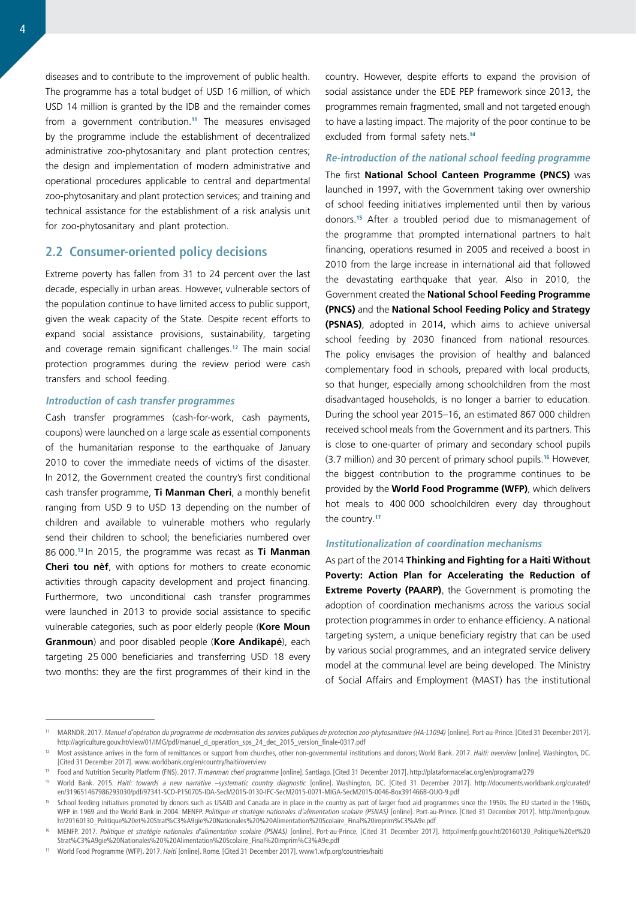diseases and to contribute to the improvement of public health. The programme has a total budget of USD 16 million, of which USD 14 million is granted by the IDB and the remainder comes from a government contribution.**<sup>11</sup>** The measures envisaged by the programme include the establishment of decentralized administrative zoo-phytosanitary and plant protection centres; the design and implementation of modern administrative and operational procedures applicable to central and departmental zoo-phytosanitary and plant protection services; and training and technical assistance for the establishment of a risk analysis unit for zoo-phytosanitary and plant protection.

### **2.2 Consumer-oriented policy decisions**

Extreme poverty has fallen from 31 to 24 percent over the last decade, especially in urban areas. However, vulnerable sectors of the population continue to have limited access to public support, given the weak capacity of the State. Despite recent efforts to expand social assistance provisions, sustainability, targeting and coverage remain significant challenges.**<sup>12</sup>** The main social protection programmes during the review period were cash transfers and school feeding.

#### **Introduction of cash transfer programmes**

Cash transfer programmes (cash-for-work, cash payments, coupons) were launched on a large scale as essential components of the humanitarian response to the earthquake of January 2010 to cover the immediate needs of victims of the disaster. In 2012, the Government created the country's first conditional cash transfer programme, **Ti Manman Cheri**, a monthly benefit ranging from USD 9 to USD 13 depending on the number of children and available to vulnerable mothers who regularly send their children to school; the beneficiaries numbered over 86 000.**<sup>13</sup>**In 2015, the programme was recast as **Ti Manman Cheri tou nèf**, with options for mothers to create economic activities through capacity development and project financing. Furthermore, two unconditional cash transfer programmes were launched in 2013 to provide social assistance to specific vulnerable categories, such as poor elderly people (**Kore Moun Granmoun**) and poor disabled people (**Kore Andikapé**), each targeting 25 000 beneficiaries and transferring USD 18 every two months: they are the first programmes of their kind in the country. However, despite efforts to expand the provision of social assistance under the EDE PEP framework since 2013, the programmes remain fragmented, small and not targeted enough to have a lasting impact. The majority of the poor continue to be excluded from formal safety nets.**<sup>14</sup>**

### **Re-introduction of the national school feeding programme**

The first **National School Canteen Programme (PNCS)** was launched in 1997, with the Government taking over ownership of school feeding initiatives implemented until then by various donors.**<sup>15</sup>** After a troubled period due to mismanagement of the programme that prompted international partners to halt financing, operations resumed in 2005 and received a boost in 2010 from the large increase in international aid that followed the devastating earthquake that year. Also in 2010, the Government created the **National School Feeding Programme (PNCS)** and the **National School Feeding Policy and Strategy (PSNAS)**, adopted in 2014, which aims to achieve universal school feeding by 2030 financed from national resources. The policy envisages the provision of healthy and balanced complementary food in schools, prepared with local products, so that hunger, especially among schoolchildren from the most disadvantaged households, is no longer a barrier to education. During the school year 2015–16, an estimated 867 000 children received school meals from the Government and its partners. This is close to one-quarter of primary and secondary school pupils (3.7 million) and 30 percent of primary school pupils.**<sup>16</sup>** However, the biggest contribution to the programme continues to be provided by the **World Food Programme (WFP)**, which delivers hot meals to 400 000 schoolchildren every day throughout the country.**<sup>17</sup>**

### **Institutionalization of coordination mechanisms**

As part of the 2014 **Thinking and Fighting for a Haiti Without Poverty: Action Plan for Accelerating the Reduction of Extreme Poverty (PAARP)**, the Government is promoting the adoption of coordination mechanisms across the various social protection programmes in order to enhance efficiency. A national targeting system, a unique beneficiary registry that can be used by various social programmes, and an integrated service delivery model at the communal level are being developed. The Ministry of Social Affairs and Employment (MAST) has the institutional

<sup>11</sup> MARNDR. 2017. *Manuel d'opération du programme de modernisation des services publiques de protection zoo-phytosanitaire (HA-L1094)* [online]. Port-au-Prince. [Cited 31 December 2017]. [http://agriculture.gouv.ht/view/01/IMG/pdf/manuel\\_d\\_operation\\_sps\\_24\\_dec\\_2015\\_version\\_finale-0317.pdf](http://agriculture.gouv.ht/view/01/IMG/pdf/manuel_d_operation_sps_24_dec_2015_version_finale-0317.pdf)

<sup>&</sup>lt;sup>12</sup> Most assistance arrives in the form of remittances or support from churches, other non-governmental institutions and donors; World Bank. 2017. Haiti: overview [online]. Washington, DC. [Cited 31 December 2017]. [www.worldbank.org/en/country/haiti/overview](http://www.worldbank.org/en/country/haiti/overview)

<sup>&</sup>lt;sup>13</sup> Food and Nutrition Security Platform (FNS). 2017. *Ti manman cheri programme* [online]. Santiago. [Cited 31 December 2017]. <http://plataformacelac.org/en/programa/279>

<sup>&</sup>lt;sup>14</sup> World Bank. 2015. *Haiti: towards a new narrative -systematic country diagnostic* [online]. Washington, DC. [Cited 31 December 2017]. [http://documents.worldbank.org/curated/](http://documents.worldbank.org/curated/en/319651467986293030/pdf/97341-SCD-P150705-IDA-SecM2015-0130-IFC-SecM2015-0071-MIGA-SecM2015-0046-Box391466B-OUO-9.pdf) [en/319651467986293030/pdf/97341-SCD-P150705-IDA-SecM2015-0130-IFC-SecM2015-0071-MIGA-SecM2015-0046-Box391466B-OUO-9.pdf](http://documents.worldbank.org/curated/en/319651467986293030/pdf/97341-SCD-P150705-IDA-SecM2015-0130-IFC-SecM2015-0071-MIGA-SecM2015-0046-Box391466B-OUO-9.pdf)

School feeding initiatives promoted by donors such as USAID and Canada are in place in the country as part of larger food aid programmes since the 1950s. The EU started in the 1960s, WFP in 1969 and the World Bank in 2004. MENFP. *Politique et stratégie nationales d'alimentation scolaire (PSNAS)* [online]. Port-au-Prince. [Cited 31 December 2017]. [http://menfp.gouv.](http://menfp.gouv.ht/20160130_Politique) [ht/20160130\\_Politique](http://menfp.gouv.ht/20160130_Politique)%20et%20Strat%C3%A9gie%20Nationales%20%20Alimentation%20Scolaire\_Final%20imprim%C3%<A9e.pdf>

<sup>&</sup>lt;sup>16</sup> MENFP. 2017. Politique et stratégie nationales d'alimentation scolaire (PSNAS) [online]. Port-au-Prince. [Cited 31 December 2017]. http://menfp.gouv.ht/20160130 Politique%20et%20 Strat%C3%A9gie%20Nationales%20%20Alimentation%20Scolaire\_Final%20imprim%C3[%A9e.pdf](A9e.pdf)

<sup>17</sup> World Food Programme (WFP). 2017. *Haiti* [online]. Rome. [Cited 31 December 2017]. [www1.wfp.org/countries/haiti](http://www1.wfp.org/countries/haiti)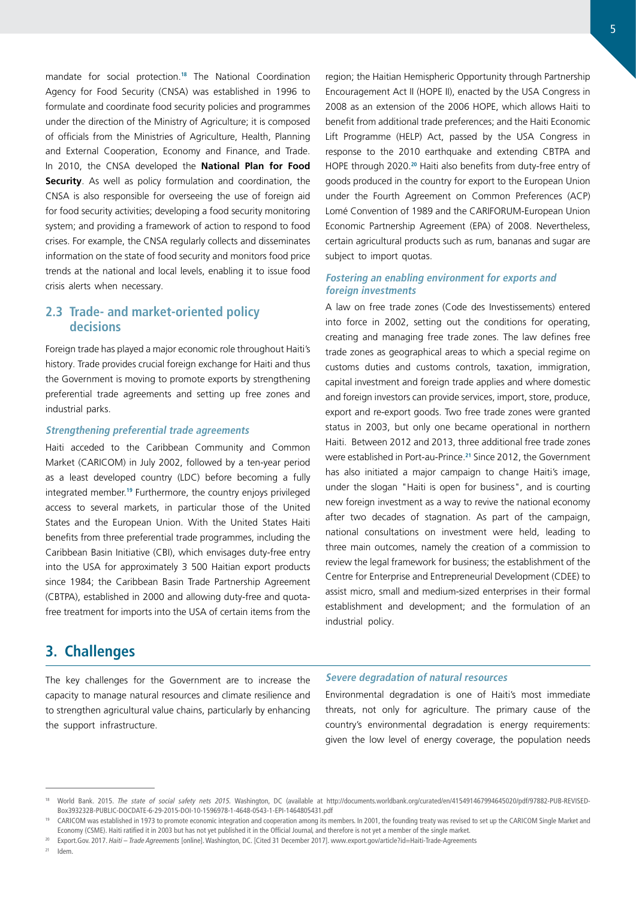mandate for social protection.**<sup>18</sup>** The National Coordination Agency for Food Security (CNSA) was established in 1996 to formulate and coordinate food security policies and programmes under the direction of the Ministry of Agriculture; it is composed of officials from the Ministries of Agriculture, Health, Planning and External Cooperation, Economy and Finance, and Trade. In 2010, the CNSA developed the **National Plan for Food Security**. As well as policy formulation and coordination, the CNSA is also responsible for overseeing the use of foreign aid for food security activities; developing a food security monitoring system; and providing a framework of action to respond to food crises. For example, the CNSA regularly collects and disseminates information on the state of food security and monitors food price trends at the national and local levels, enabling it to issue food crisis alerts when necessary.

### **2.3 Trade- and market-oriented policy decisions**

Foreign trade has played a major economic role throughout Haiti's history. Trade provides crucial foreign exchange for Haiti and thus the Government is moving to promote exports by strengthening preferential trade agreements and setting up free zones and industrial parks.

### **Strengthening preferential trade agreements**

Haiti acceded to the Caribbean Community and Common Market (CARICOM) in July 2002, followed by a ten-year period as a least developed country (LDC) before becoming a fully integrated member.**<sup>19</sup>** Furthermore, the country enjoys privileged access to several markets, in particular those of the United States and the European Union. With the United States Haiti benefits from three preferential trade programmes, including the Caribbean Basin Initiative (CBI), which envisages duty-free entry into the USA for approximately 3 500 Haitian export products since 1984; the Caribbean Basin Trade Partnership Agreement (CBTPA), established in 2000 and allowing duty-free and quotafree treatment for imports into the USA of certain items from the

## **3. Challenges**

The key challenges for the Government are to increase the capacity to manage natural resources and climate resilience and to strengthen agricultural value chains, particularly by enhancing the support infrastructure.

region; the Haitian Hemispheric Opportunity through Partnership Encouragement Act II (HOPE II), enacted by the USA Congress in 2008 as an extension of the 2006 HOPE, which allows Haiti to benefit from additional trade preferences; and the Haiti Economic Lift Programme (HELP) Act, passed by the USA Congress in response to the 2010 earthquake and extending CBTPA and HOPE through 2020.**<sup>20</sup>** Haiti also benefits from duty-free entry of goods produced in the country for export to the European Union under the Fourth Agreement on Common Preferences (ACP) Lomé Convention of 1989 and the CARIFORUM-European Union Economic Partnership Agreement (EPA) of 2008. Nevertheless, certain agricultural products such as rum, bananas and sugar are subject to import quotas.

### **Fostering an enabling environment for exports and foreign investments**

A law on free trade zones (Code des Investissements) entered into force in 2002, setting out the conditions for operating, creating and managing free trade zones. The law defines free trade zones as geographical areas to which a special regime on customs duties and customs controls, taxation, immigration, capital investment and foreign trade applies and where domestic and foreign investors can provide services, import, store, produce, export and re-export goods. Two free trade zones were granted status in 2003, but only one became operational in northern Haiti. Between 2012 and 2013, three additional free trade zones were established in Port-au-Prince.**<sup>21</sup>** Since 2012, the Government has also initiated a major campaign to change Haiti's image, under the slogan "Haiti is open for business", and is courting new foreign investment as a way to revive the national economy after two decades of stagnation. As part of the campaign, national consultations on investment were held, leading to three main outcomes, namely the creation of a commission to review the legal framework for business; the establishment of the Centre for Enterprise and Entrepreneurial Development (CDEE) to assist micro, small and medium-sized enterprises in their formal establishment and development; and the formulation of an industrial policy.

#### **Severe degradation of natural resources**

Environmental degradation is one of Haiti's most immediate threats, not only for agriculture. The primary cause of the country's environmental degradation is energy requirements: given the low level of energy coverage, the population needs

 $21$  Idem

<sup>18</sup> World Bank. 2015. *The state of social safety nets 2015.* Washington, DC (available at [http://documents.worldbank.org/curated/en/415491467994645020/pdf/97882-PUB-REVISED-](http://documents.worldbank.org/curated/en/415491467994645020/pdf/97882-PUB-REVISED-Box393232B-PUBLIC-DOCDATE-6-29-2015-DOI-10-1596978-1-4648-0543-1-EPI-1464805431.pdf)[Box393232B-PUBLIC-DOCDATE-6-29-2015-DOI-10-1596978-1-4648-0543-1-EPI-1464805431.pdf](http://documents.worldbank.org/curated/en/415491467994645020/pdf/97882-PUB-REVISED-Box393232B-PUBLIC-DOCDATE-6-29-2015-DOI-10-1596978-1-4648-0543-1-EPI-1464805431.pdf)

<sup>19</sup> CARICOM was established in 1973 to promote economic integration and cooperation among its members. In 2001, the founding treaty was revised to set up the CARICOM Single Market and Economy (CSME). Haiti ratified it in 2003 but has not yet published it in the Official Journal, and therefore is not yet a member of the single market.

<sup>20</sup> [Export.Gov.](Export.Gov) 2017. *Haiti – Trade Agreements* [online]. Washington, DC. [Cited 31 December 2017]. [www.export.gov/article?id=Haiti-Trade-Agreements](https://www.export.gov/article?id=Haiti-Trade-Agreements)